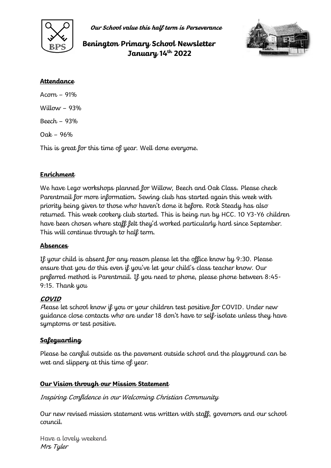

**Our School value this half term is Perseverance**

# **Benington Primary School Newsletter January 14th 2022**



#### **Attendance**

Acorn – 91% Willow  $-93%$ Beech – 93% Oak – 96%

This is great for this time of year. Well done everyone.

## **Enrichment**

We have Lego workshops planned for Willow, Beech and Oak Class. Please check Parentmail for more information. Sewing club has started again this week with priority being given to those who haven't done it before. Rock Steady has also returned. This week cookery club started. This is being run by HCC. 10 Y3-Y6 children have been chosen where staff felt they'd worked particularly hard since September. This will continue through to half term.

### **Absences**

If your child is absent for any reason please let the office know by 9:30. Please ensure that you do this even if you've let your child's class teacher know. Our preferred method is Parentmail. If you need to phone, please phone between 8:45- 9:15. Thank you

## **COVID**

<sup>P</sup>lease let school know if you or your children test positive for COVID. Under new guidance close contacts who are under 18 don't have to self-isolate unless they have symptoms or test positive.

# **Safeguarding**

Please be careful outside as the pavement outside school and the playground can be wet and slippery at this time of year.

## **Our Vision through our Mission Statement**

Inspiring Confidence in our Welcoming Christian Community

Our new revised mission statement was written with staff, governors and our school council.

Have a lovely weekend Mrs Tyler